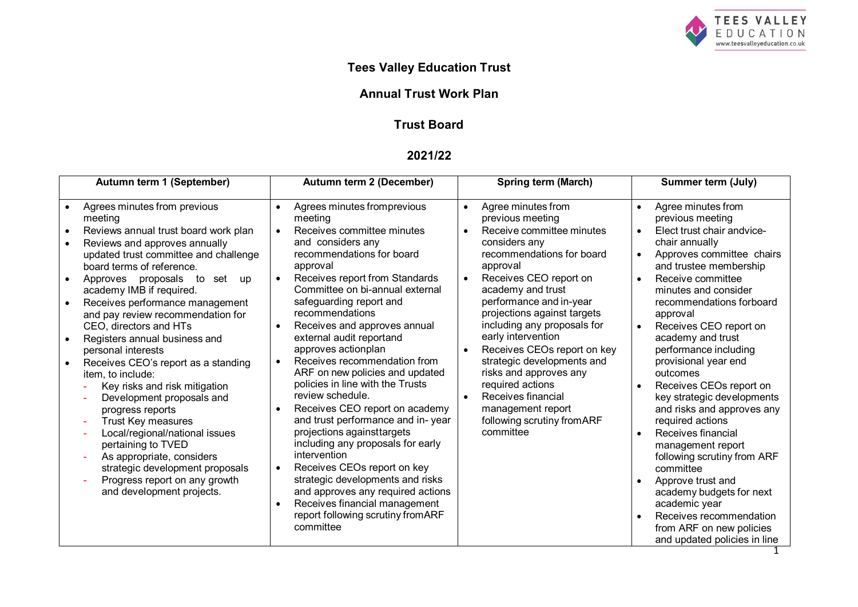

# **Tees Valley Education Trust**

# **Annual Trust Work Plan**

# **Trust Board**

### **2021/22**

| Autumn term 1 (September)                                                                                                                                                                                                                                                                                                                                                                                                                                                                                                                                                                                                                                                                                                                                                                | Autumn term 2 (December)                                                                                                                                                                                                                                                                                                                                                                                                                                                                                                                                                                                                                                                                                                                                                                                                                                                                                                          | <b>Spring term (March)</b>                                                                                                                                                                                                                                                                                                                                                                                                                                                                                              | <b>Summer term (July)</b>                                                                                                                                                                                                                                                                                                                                                                                                                                                                                                                                                                                                                                                                                                                                                                            |
|------------------------------------------------------------------------------------------------------------------------------------------------------------------------------------------------------------------------------------------------------------------------------------------------------------------------------------------------------------------------------------------------------------------------------------------------------------------------------------------------------------------------------------------------------------------------------------------------------------------------------------------------------------------------------------------------------------------------------------------------------------------------------------------|-----------------------------------------------------------------------------------------------------------------------------------------------------------------------------------------------------------------------------------------------------------------------------------------------------------------------------------------------------------------------------------------------------------------------------------------------------------------------------------------------------------------------------------------------------------------------------------------------------------------------------------------------------------------------------------------------------------------------------------------------------------------------------------------------------------------------------------------------------------------------------------------------------------------------------------|-------------------------------------------------------------------------------------------------------------------------------------------------------------------------------------------------------------------------------------------------------------------------------------------------------------------------------------------------------------------------------------------------------------------------------------------------------------------------------------------------------------------------|------------------------------------------------------------------------------------------------------------------------------------------------------------------------------------------------------------------------------------------------------------------------------------------------------------------------------------------------------------------------------------------------------------------------------------------------------------------------------------------------------------------------------------------------------------------------------------------------------------------------------------------------------------------------------------------------------------------------------------------------------------------------------------------------------|
| Agrees minutes from previous<br>meeting<br>Reviews annual trust board work plan<br>$\bullet$<br>Reviews and approves annually<br>updated trust committee and challenge<br>board terms of reference.<br>Approves proposals<br>to set<br>up<br>academy IMB if required.<br>Receives performance management<br>and pay review recommendation for<br>CEO, directors and HTs<br>Registers annual business and<br>personal interests<br>Receives CEO's report as a standing<br>item, to include:<br>Key risks and risk mitigation<br>Development proposals and<br>progress reports<br>Trust Key measures<br>Local/regional/national issues<br>pertaining to TVED<br>As appropriate, considers<br>strategic development proposals<br>Progress report on any growth<br>and development projects. | Agrees minutes fromprevious<br>$\bullet$<br>meeting<br>Receives committee minutes<br>$\bullet$<br>and considers any<br>recommendations for board<br>approval<br>Receives report from Standards<br>$\bullet$<br>Committee on bi-annual external<br>safeguarding report and<br>recommendations<br>Receives and approves annual<br>$\bullet$<br>external audit reportand<br>approves actionplan<br>Receives recommendation from<br>$\bullet$<br>ARF on new policies and updated<br>policies in line with the Trusts<br>review schedule.<br>Receives CEO report on academy<br>$\bullet$<br>and trust performance and in-year<br>projections against targets<br>including any proposals for early<br>intervention<br>Receives CEOs report on key<br>$\bullet$<br>strategic developments and risks<br>and approves any required actions<br>Receives financial management<br>$\bullet$<br>report following scrutiny fromARF<br>committee | Agree minutes from<br>$\bullet$<br>previous meeting<br>Receive committee minutes<br>$\bullet$<br>considers any<br>recommendations for board<br>approval<br>Receives CEO report on<br>academy and trust<br>performance and in-year<br>projections against targets<br>including any proposals for<br>early intervention<br>Receives CEOs report on key<br>strategic developments and<br>risks and approves any<br>required actions<br>Receives financial<br>management report<br>following scrutiny from ARF<br>committee | Agree minutes from<br>$\bullet$<br>previous meeting<br>Elect trust chair andvice-<br>$\bullet$<br>chair annually<br>Approves committee chairs<br>$\bullet$<br>and trustee membership<br>Receive committee<br>$\bullet$<br>minutes and consider<br>recommendations forboard<br>approval<br>Receives CEO report on<br>$\bullet$<br>academy and trust<br>performance including<br>provisional year end<br>outcomes<br>Receives CEOs report on<br>key strategic developments<br>and risks and approves any<br>required actions<br>Receives financial<br>$\bullet$<br>management report<br>following scrutiny from ARF<br>committee<br>Approve trust and<br>$\bullet$<br>academy budgets for next<br>academic year<br>Receives recommendation<br>from ARF on new policies<br>and updated policies in line |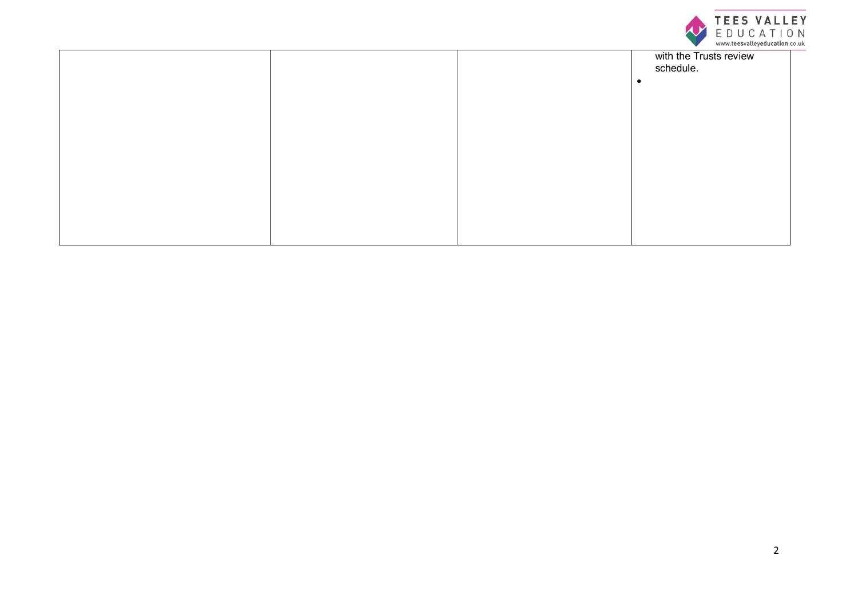

|  | with the Trusts review<br>schedule. |
|--|-------------------------------------|
|  |                                     |
|  |                                     |
|  |                                     |
|  |                                     |
|  |                                     |
|  |                                     |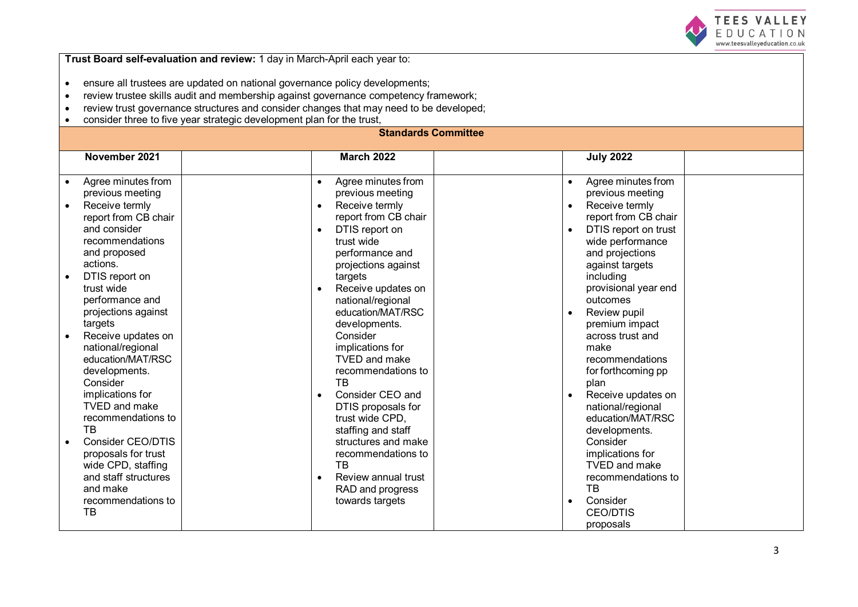

**Trust Board self-evaluation and review:** 1 day in March-April each year to:

- ensure all trustees are updated on national governance policy developments;<br>• review trustee skills audit and membership against governance competency fr
- review trustee skills audit and membership against governance competency framework;<br>• review trust governance structures and consider changes that may need to be developed
- review trust governance structures and consider changes that may need to be developed;<br>• consider three to five vear strategic development plan for the trust
- consider three to five year strategic development plan for the trust,

### **Standards Committee**

| November 2021                   | <b>March 2022</b>                | <b>July 2022</b>            |
|---------------------------------|----------------------------------|-----------------------------|
|                                 |                                  |                             |
| Agree minutes from              | Agree minutes from               | Agree minutes from          |
| previous meeting                | previous meeting                 | previous meeting            |
| Receive termly<br>$\bullet$     | Receive termly<br>$\bullet$      | Receive termly<br>$\bullet$ |
| report from CB chair            | report from CB chair             | report from CB chair        |
| and consider                    | DTIS report on                   | DTIS report on trust        |
| recommendations                 | trust wide                       | wide performance            |
| and proposed                    | performance and                  | and projections             |
| actions.                        | projections against              | against targets             |
| DTIS report on                  | targets                          | including                   |
| trust wide                      | Receive updates on               | provisional year end        |
| performance and                 | national/regional                | outcomes                    |
| projections against             | education/MAT/RSC                | Review pupil                |
| targets                         | developments.                    | premium impact              |
| Receive updates on<br>$\bullet$ | Consider                         | across trust and            |
| national/regional               | implications for                 | make                        |
| education/MAT/RSC               | <b>TVED and make</b>             | recommendations             |
| developments.                   | recommendations to               | for forthcoming pp          |
| Consider                        | <b>TB</b>                        | plan                        |
| implications for                | Consider CEO and<br>$\bullet$    | Receive updates on          |
| <b>TVED</b> and make            | DTIS proposals for               | national/regional           |
| recommendations to              | trust wide CPD,                  | education/MAT/RSC           |
| <b>TB</b>                       | staffing and staff               | developments.               |
| Consider CEO/DTIS               | structures and make              | Consider                    |
| proposals for trust             | recommendations to               | implications for            |
| wide CPD, staffing              | ТB                               | TVED and make               |
| and staff structures            | Review annual trust<br>$\bullet$ | recommendations to          |
| and make                        | RAD and progress                 | <b>TB</b>                   |
| recommendations to              | towards targets                  | Consider                    |
| TB                              |                                  | <b>CEO/DTIS</b>             |
|                                 |                                  | proposals                   |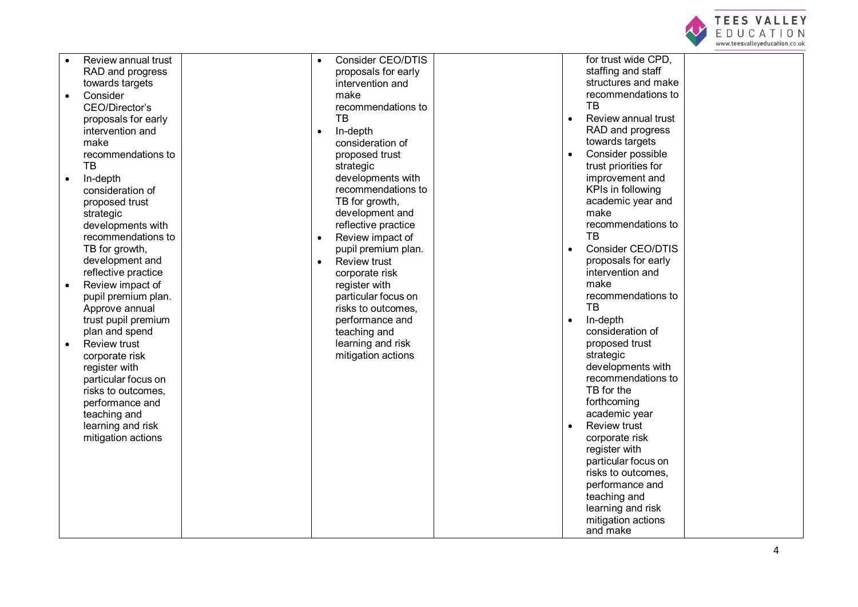

| Consider CEO/DTIS<br>for trust wide CPD,<br>Review annual trust<br>$\bullet$<br>staffing and staff<br>RAD and progress<br>proposals for early<br>structures and make<br>towards targets<br>intervention and<br>recommendations to<br>Consider<br>make<br>TB<br>recommendations to<br>CEO/Director's<br>TB<br>Review annual trust<br>proposals for early<br>RAD and progress<br>intervention and<br>In-depth<br>$\bullet$<br>towards targets<br>consideration of<br>make<br>Consider possible<br>recommendations to<br>proposed trust<br>trust priorities for<br>TВ<br>strategic<br>improvement and<br>developments with<br>In-depth<br>$\bullet$<br>recommendations to<br>KPIs in following<br>consideration of<br>TB for growth,<br>academic year and<br>proposed trust<br>development and<br>make<br>strategic<br>recommendations to<br>reflective practice<br>developments with<br><b>TB</b><br>recommendations to<br>Review impact of<br>$\bullet$<br>Consider CEO/DTIS<br>TB for growth,<br>pupil premium plan.<br>development and<br>proposals for early<br><b>Review trust</b><br>$\bullet$<br>reflective practice<br>intervention and<br>corporate risk<br>make<br>Review impact of<br>register with<br>recommendations to<br>pupil premium plan.<br>particular focus on<br><b>TB</b><br>Approve annual<br>risks to outcomes,<br>trust pupil premium<br>performance and<br>In-depth<br>$\bullet$<br>consideration of<br>plan and spend<br>teaching and |                     |                   |                |  |
|----------------------------------------------------------------------------------------------------------------------------------------------------------------------------------------------------------------------------------------------------------------------------------------------------------------------------------------------------------------------------------------------------------------------------------------------------------------------------------------------------------------------------------------------------------------------------------------------------------------------------------------------------------------------------------------------------------------------------------------------------------------------------------------------------------------------------------------------------------------------------------------------------------------------------------------------------------------------------------------------------------------------------------------------------------------------------------------------------------------------------------------------------------------------------------------------------------------------------------------------------------------------------------------------------------------------------------------------------------------------------------------------------------------------------------------------------------------|---------------------|-------------------|----------------|--|
|                                                                                                                                                                                                                                                                                                                                                                                                                                                                                                                                                                                                                                                                                                                                                                                                                                                                                                                                                                                                                                                                                                                                                                                                                                                                                                                                                                                                                                                                |                     |                   |                |  |
|                                                                                                                                                                                                                                                                                                                                                                                                                                                                                                                                                                                                                                                                                                                                                                                                                                                                                                                                                                                                                                                                                                                                                                                                                                                                                                                                                                                                                                                                |                     |                   |                |  |
|                                                                                                                                                                                                                                                                                                                                                                                                                                                                                                                                                                                                                                                                                                                                                                                                                                                                                                                                                                                                                                                                                                                                                                                                                                                                                                                                                                                                                                                                |                     |                   |                |  |
|                                                                                                                                                                                                                                                                                                                                                                                                                                                                                                                                                                                                                                                                                                                                                                                                                                                                                                                                                                                                                                                                                                                                                                                                                                                                                                                                                                                                                                                                |                     |                   |                |  |
|                                                                                                                                                                                                                                                                                                                                                                                                                                                                                                                                                                                                                                                                                                                                                                                                                                                                                                                                                                                                                                                                                                                                                                                                                                                                                                                                                                                                                                                                |                     |                   |                |  |
|                                                                                                                                                                                                                                                                                                                                                                                                                                                                                                                                                                                                                                                                                                                                                                                                                                                                                                                                                                                                                                                                                                                                                                                                                                                                                                                                                                                                                                                                |                     |                   |                |  |
|                                                                                                                                                                                                                                                                                                                                                                                                                                                                                                                                                                                                                                                                                                                                                                                                                                                                                                                                                                                                                                                                                                                                                                                                                                                                                                                                                                                                                                                                |                     |                   |                |  |
|                                                                                                                                                                                                                                                                                                                                                                                                                                                                                                                                                                                                                                                                                                                                                                                                                                                                                                                                                                                                                                                                                                                                                                                                                                                                                                                                                                                                                                                                |                     |                   |                |  |
|                                                                                                                                                                                                                                                                                                                                                                                                                                                                                                                                                                                                                                                                                                                                                                                                                                                                                                                                                                                                                                                                                                                                                                                                                                                                                                                                                                                                                                                                |                     |                   |                |  |
|                                                                                                                                                                                                                                                                                                                                                                                                                                                                                                                                                                                                                                                                                                                                                                                                                                                                                                                                                                                                                                                                                                                                                                                                                                                                                                                                                                                                                                                                |                     |                   |                |  |
|                                                                                                                                                                                                                                                                                                                                                                                                                                                                                                                                                                                                                                                                                                                                                                                                                                                                                                                                                                                                                                                                                                                                                                                                                                                                                                                                                                                                                                                                |                     |                   |                |  |
|                                                                                                                                                                                                                                                                                                                                                                                                                                                                                                                                                                                                                                                                                                                                                                                                                                                                                                                                                                                                                                                                                                                                                                                                                                                                                                                                                                                                                                                                |                     |                   |                |  |
|                                                                                                                                                                                                                                                                                                                                                                                                                                                                                                                                                                                                                                                                                                                                                                                                                                                                                                                                                                                                                                                                                                                                                                                                                                                                                                                                                                                                                                                                |                     |                   |                |  |
|                                                                                                                                                                                                                                                                                                                                                                                                                                                                                                                                                                                                                                                                                                                                                                                                                                                                                                                                                                                                                                                                                                                                                                                                                                                                                                                                                                                                                                                                |                     |                   |                |  |
|                                                                                                                                                                                                                                                                                                                                                                                                                                                                                                                                                                                                                                                                                                                                                                                                                                                                                                                                                                                                                                                                                                                                                                                                                                                                                                                                                                                                                                                                |                     |                   |                |  |
|                                                                                                                                                                                                                                                                                                                                                                                                                                                                                                                                                                                                                                                                                                                                                                                                                                                                                                                                                                                                                                                                                                                                                                                                                                                                                                                                                                                                                                                                |                     |                   |                |  |
|                                                                                                                                                                                                                                                                                                                                                                                                                                                                                                                                                                                                                                                                                                                                                                                                                                                                                                                                                                                                                                                                                                                                                                                                                                                                                                                                                                                                                                                                |                     |                   |                |  |
|                                                                                                                                                                                                                                                                                                                                                                                                                                                                                                                                                                                                                                                                                                                                                                                                                                                                                                                                                                                                                                                                                                                                                                                                                                                                                                                                                                                                                                                                |                     |                   |                |  |
|                                                                                                                                                                                                                                                                                                                                                                                                                                                                                                                                                                                                                                                                                                                                                                                                                                                                                                                                                                                                                                                                                                                                                                                                                                                                                                                                                                                                                                                                |                     |                   |                |  |
|                                                                                                                                                                                                                                                                                                                                                                                                                                                                                                                                                                                                                                                                                                                                                                                                                                                                                                                                                                                                                                                                                                                                                                                                                                                                                                                                                                                                                                                                |                     |                   |                |  |
|                                                                                                                                                                                                                                                                                                                                                                                                                                                                                                                                                                                                                                                                                                                                                                                                                                                                                                                                                                                                                                                                                                                                                                                                                                                                                                                                                                                                                                                                |                     |                   |                |  |
|                                                                                                                                                                                                                                                                                                                                                                                                                                                                                                                                                                                                                                                                                                                                                                                                                                                                                                                                                                                                                                                                                                                                                                                                                                                                                                                                                                                                                                                                |                     |                   |                |  |
|                                                                                                                                                                                                                                                                                                                                                                                                                                                                                                                                                                                                                                                                                                                                                                                                                                                                                                                                                                                                                                                                                                                                                                                                                                                                                                                                                                                                                                                                |                     |                   |                |  |
|                                                                                                                                                                                                                                                                                                                                                                                                                                                                                                                                                                                                                                                                                                                                                                                                                                                                                                                                                                                                                                                                                                                                                                                                                                                                                                                                                                                                                                                                |                     |                   |                |  |
|                                                                                                                                                                                                                                                                                                                                                                                                                                                                                                                                                                                                                                                                                                                                                                                                                                                                                                                                                                                                                                                                                                                                                                                                                                                                                                                                                                                                                                                                |                     |                   |                |  |
|                                                                                                                                                                                                                                                                                                                                                                                                                                                                                                                                                                                                                                                                                                                                                                                                                                                                                                                                                                                                                                                                                                                                                                                                                                                                                                                                                                                                                                                                | <b>Review trust</b> | learning and risk | proposed trust |  |
| mitigation actions<br>strategic<br>corporate risk                                                                                                                                                                                                                                                                                                                                                                                                                                                                                                                                                                                                                                                                                                                                                                                                                                                                                                                                                                                                                                                                                                                                                                                                                                                                                                                                                                                                              |                     |                   |                |  |
| developments with<br>register with                                                                                                                                                                                                                                                                                                                                                                                                                                                                                                                                                                                                                                                                                                                                                                                                                                                                                                                                                                                                                                                                                                                                                                                                                                                                                                                                                                                                                             |                     |                   |                |  |
| recommendations to<br>particular focus on                                                                                                                                                                                                                                                                                                                                                                                                                                                                                                                                                                                                                                                                                                                                                                                                                                                                                                                                                                                                                                                                                                                                                                                                                                                                                                                                                                                                                      |                     |                   |                |  |
| TB for the<br>risks to outcomes,                                                                                                                                                                                                                                                                                                                                                                                                                                                                                                                                                                                                                                                                                                                                                                                                                                                                                                                                                                                                                                                                                                                                                                                                                                                                                                                                                                                                                               |                     |                   |                |  |
| forthcoming<br>performance and                                                                                                                                                                                                                                                                                                                                                                                                                                                                                                                                                                                                                                                                                                                                                                                                                                                                                                                                                                                                                                                                                                                                                                                                                                                                                                                                                                                                                                 |                     |                   |                |  |
| academic year<br>teaching and                                                                                                                                                                                                                                                                                                                                                                                                                                                                                                                                                                                                                                                                                                                                                                                                                                                                                                                                                                                                                                                                                                                                                                                                                                                                                                                                                                                                                                  |                     |                   |                |  |
| learning and risk<br><b>Review trust</b>                                                                                                                                                                                                                                                                                                                                                                                                                                                                                                                                                                                                                                                                                                                                                                                                                                                                                                                                                                                                                                                                                                                                                                                                                                                                                                                                                                                                                       |                     |                   |                |  |
| mitigation actions<br>corporate risk                                                                                                                                                                                                                                                                                                                                                                                                                                                                                                                                                                                                                                                                                                                                                                                                                                                                                                                                                                                                                                                                                                                                                                                                                                                                                                                                                                                                                           |                     |                   |                |  |
| register with                                                                                                                                                                                                                                                                                                                                                                                                                                                                                                                                                                                                                                                                                                                                                                                                                                                                                                                                                                                                                                                                                                                                                                                                                                                                                                                                                                                                                                                  |                     |                   |                |  |
| particular focus on                                                                                                                                                                                                                                                                                                                                                                                                                                                                                                                                                                                                                                                                                                                                                                                                                                                                                                                                                                                                                                                                                                                                                                                                                                                                                                                                                                                                                                            |                     |                   |                |  |
| risks to outcomes,                                                                                                                                                                                                                                                                                                                                                                                                                                                                                                                                                                                                                                                                                                                                                                                                                                                                                                                                                                                                                                                                                                                                                                                                                                                                                                                                                                                                                                             |                     |                   |                |  |
| performance and                                                                                                                                                                                                                                                                                                                                                                                                                                                                                                                                                                                                                                                                                                                                                                                                                                                                                                                                                                                                                                                                                                                                                                                                                                                                                                                                                                                                                                                |                     |                   |                |  |
| teaching and                                                                                                                                                                                                                                                                                                                                                                                                                                                                                                                                                                                                                                                                                                                                                                                                                                                                                                                                                                                                                                                                                                                                                                                                                                                                                                                                                                                                                                                   |                     |                   |                |  |
| learning and risk                                                                                                                                                                                                                                                                                                                                                                                                                                                                                                                                                                                                                                                                                                                                                                                                                                                                                                                                                                                                                                                                                                                                                                                                                                                                                                                                                                                                                                              |                     |                   |                |  |
| mitigation actions                                                                                                                                                                                                                                                                                                                                                                                                                                                                                                                                                                                                                                                                                                                                                                                                                                                                                                                                                                                                                                                                                                                                                                                                                                                                                                                                                                                                                                             |                     |                   |                |  |
| and make                                                                                                                                                                                                                                                                                                                                                                                                                                                                                                                                                                                                                                                                                                                                                                                                                                                                                                                                                                                                                                                                                                                                                                                                                                                                                                                                                                                                                                                       |                     |                   |                |  |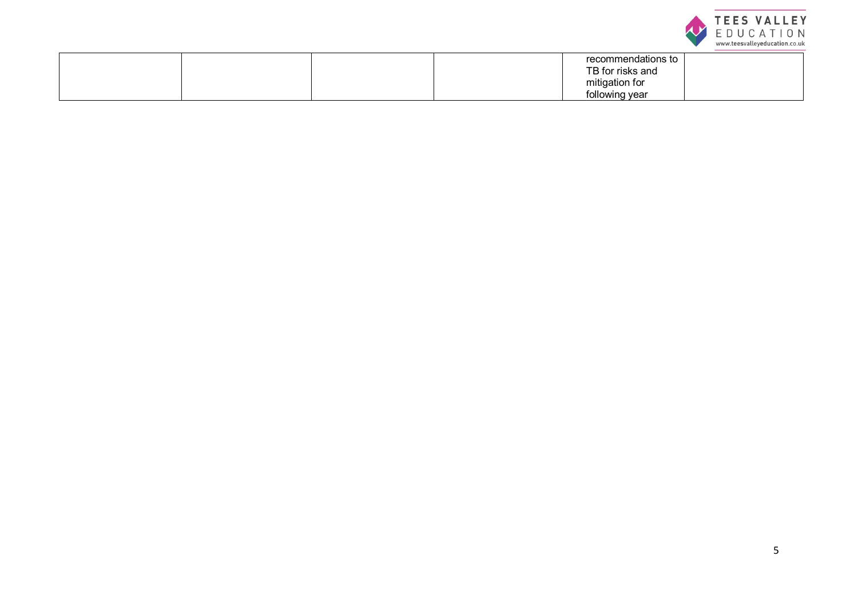

|  |  | recommendations to<br>TB for risks and |  |
|--|--|----------------------------------------|--|
|  |  | mitigation for<br>following year       |  |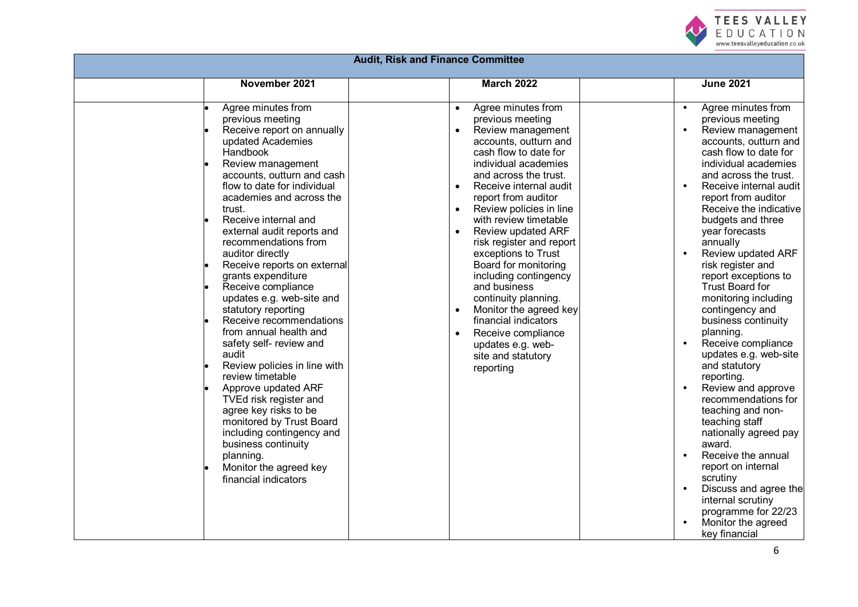

| <b>Audit, Risk and Finance Committee</b> |                                                                                                                                                                                                                                                                                                                                                                                                                                                                                                                                                                                                                                                                                                                                                                                                                                      |                                                                                                                                                                                                                                                                                                                                                                                                                                                                                                                                                                                                        |                                                                                                                                                                                                                                                                                                                                                                                                                                                                                                                                                                                                                                                                                                                                                                                                                                                                                                                                              |  |  |  |
|------------------------------------------|--------------------------------------------------------------------------------------------------------------------------------------------------------------------------------------------------------------------------------------------------------------------------------------------------------------------------------------------------------------------------------------------------------------------------------------------------------------------------------------------------------------------------------------------------------------------------------------------------------------------------------------------------------------------------------------------------------------------------------------------------------------------------------------------------------------------------------------|--------------------------------------------------------------------------------------------------------------------------------------------------------------------------------------------------------------------------------------------------------------------------------------------------------------------------------------------------------------------------------------------------------------------------------------------------------------------------------------------------------------------------------------------------------------------------------------------------------|----------------------------------------------------------------------------------------------------------------------------------------------------------------------------------------------------------------------------------------------------------------------------------------------------------------------------------------------------------------------------------------------------------------------------------------------------------------------------------------------------------------------------------------------------------------------------------------------------------------------------------------------------------------------------------------------------------------------------------------------------------------------------------------------------------------------------------------------------------------------------------------------------------------------------------------------|--|--|--|
|                                          | November 2021                                                                                                                                                                                                                                                                                                                                                                                                                                                                                                                                                                                                                                                                                                                                                                                                                        | <b>March 2022</b>                                                                                                                                                                                                                                                                                                                                                                                                                                                                                                                                                                                      | <b>June 2021</b>                                                                                                                                                                                                                                                                                                                                                                                                                                                                                                                                                                                                                                                                                                                                                                                                                                                                                                                             |  |  |  |
|                                          | Agree minutes from<br>previous meeting<br>Receive report on annually<br>updated Academies<br>Handbook<br>Review management<br>accounts, outturn and cash<br>flow to date for individual<br>academies and across the<br>trust.<br>Receive internal and<br>external audit reports and<br>recommendations from<br>auditor directly<br>Receive reports on external<br>grants expenditure<br>Receive compliance<br>updates e.g. web-site and<br>statutory reporting<br>Receive recommendations<br>from annual health and<br>safety self- review and<br>audit<br>Review policies in line with<br>review timetable<br>Approve updated ARF<br>TVEd risk register and<br>agree key risks to be<br>monitored by Trust Board<br>including contingency and<br>business continuity<br>planning.<br>Monitor the agreed key<br>financial indicators | Agree minutes from<br>previous meeting<br>Review management<br>accounts, outturn and<br>cash flow to date for<br>individual academies<br>and across the trust.<br>Receive internal audit<br>$\bullet$<br>report from auditor<br>Review policies in line<br>with review timetable<br><b>Review updated ARF</b><br>risk register and report<br>exceptions to Trust<br>Board for monitoring<br>including contingency<br>and business<br>continuity planning.<br>Monitor the agreed key<br>$\bullet$<br>financial indicators<br>Receive compliance<br>updates e.g. web-<br>site and statutory<br>reporting | Agree minutes from<br>$\bullet$<br>previous meeting<br>Review management<br>$\bullet$<br>accounts, outturn and<br>cash flow to date for<br>individual academies<br>and across the trust.<br>Receive internal audit<br>$\bullet$<br>report from auditor<br>Receive the indicative<br>budgets and three<br>year forecasts<br>annually<br>Review updated ARF<br>$\bullet$<br>risk register and<br>report exceptions to<br><b>Trust Board for</b><br>monitoring including<br>contingency and<br>business continuity<br>planning.<br>Receive compliance<br>$\bullet$<br>updates e.g. web-site<br>and statutory<br>reporting.<br>Review and approve<br>$\bullet$<br>recommendations for<br>teaching and non-<br>teaching staff<br>nationally agreed pay<br>award.<br>Receive the annual<br>report on internal<br>scrutiny<br>Discuss and agree the<br>$\bullet$<br>internal scrutiny<br>programme for 22/23<br>Monitor the agreed<br>key financial |  |  |  |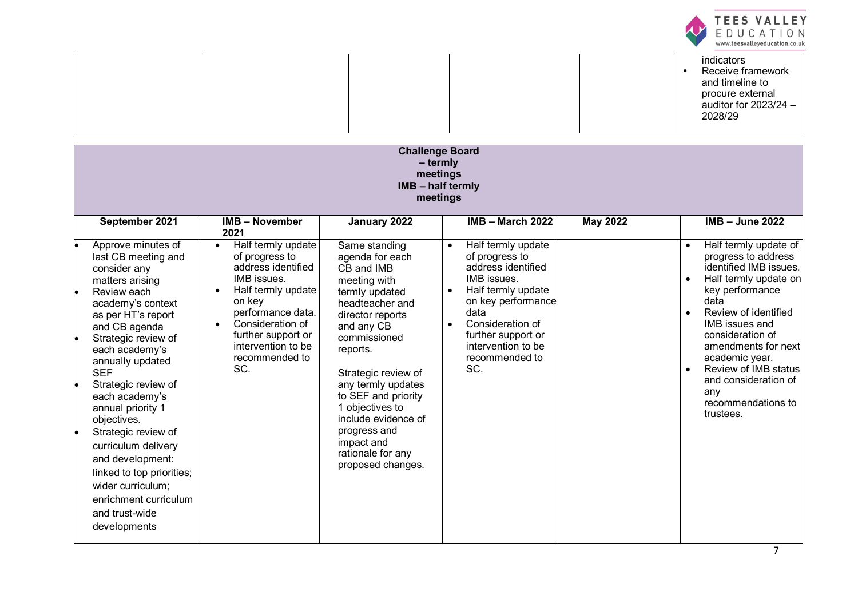

|  |  | indicators<br>Receive framework<br>and timeline to<br>procure external<br>auditor for 2023/24 -<br>2028/29 |
|--|--|------------------------------------------------------------------------------------------------------------|
|--|--|------------------------------------------------------------------------------------------------------------|

| <b>Challenge Board</b><br>$-$ termly<br>meetings<br><b>IMB - half termly</b><br>meetings                                                                  |                                                                                                                                     |                                                                                                                                          |                                                                                                                                    |                 |                                                                                                                                       |  |
|-----------------------------------------------------------------------------------------------------------------------------------------------------------|-------------------------------------------------------------------------------------------------------------------------------------|------------------------------------------------------------------------------------------------------------------------------------------|------------------------------------------------------------------------------------------------------------------------------------|-----------------|---------------------------------------------------------------------------------------------------------------------------------------|--|
| September 2021                                                                                                                                            | <b>IMB - November</b><br>2021                                                                                                       | January 2022                                                                                                                             | $IMB - March 2022$                                                                                                                 | <b>May 2022</b> | $IMB - June 2022$                                                                                                                     |  |
| Approve minutes of<br>last CB meeting and<br>consider any<br>matters arising                                                                              | Half termly update<br>$\bullet$<br>of progress to<br>address identified<br>IMB issues.                                              | Same standing<br>agenda for each<br>CB and IMB<br>meeting with                                                                           | Half termly update<br>$\bullet$<br>of progress to<br>address identified<br>IMB issues.                                             |                 | Half termly update of<br>progress to address<br>identified IMB issues.<br>Half termly update on                                       |  |
| Review each<br>academy's context<br>as per HT's report<br>and CB agenda<br>Strategic review of<br>each academy's                                          | Half termly update<br>on key<br>performance data.<br>Consideration of<br>further support or<br>intervention to be<br>recommended to | termly updated<br>headteacher and<br>director reports<br>and any CB<br>commissioned<br>reports.                                          | Half termly update<br>on key performance<br>data<br>Consideration of<br>further support or<br>intervention to be<br>recommended to |                 | key performance<br>data<br>Review of identified<br><b>IMB</b> issues and<br>consideration of<br>amendments for next<br>academic year. |  |
| annually updated<br><b>SEF</b><br>Strategic review of<br>each academy's<br>annual priority 1<br>objectives.<br>Strategic review of<br>curriculum delivery | SC.                                                                                                                                 | Strategic review of<br>any termly updates<br>to SEF and priority<br>1 objectives to<br>include evidence of<br>progress and<br>impact and | SC.                                                                                                                                |                 | Review of IMB status<br>and consideration of<br>any<br>recommendations to<br>trustees.                                                |  |
| and development:<br>linked to top priorities;<br>wider curriculum;<br>enrichment curriculum<br>and trust-wide<br>developments                             |                                                                                                                                     | rationale for any<br>proposed changes.                                                                                                   |                                                                                                                                    |                 |                                                                                                                                       |  |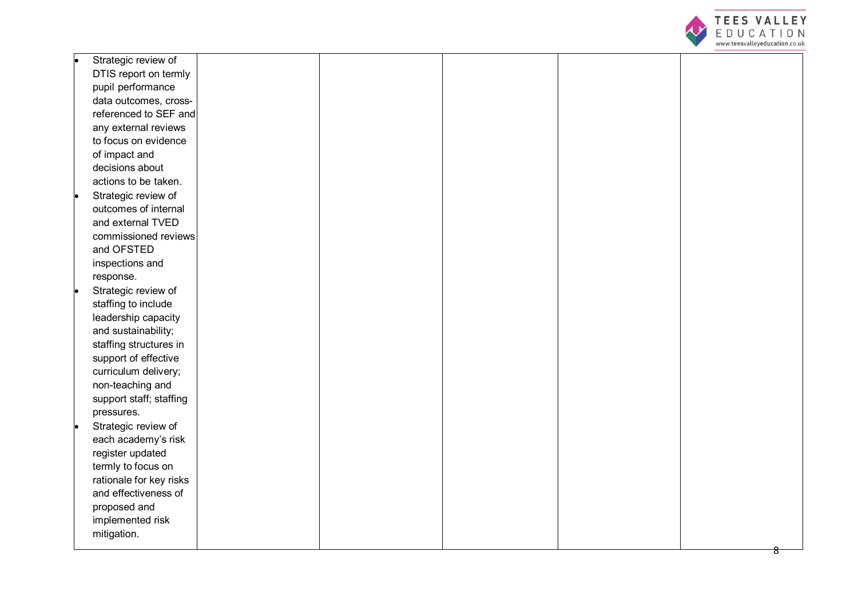

| Strategic review of     |  |  |  |
|-------------------------|--|--|--|
| DTIS report on termly   |  |  |  |
| pupil performance       |  |  |  |
| data outcomes, cross-   |  |  |  |
| referenced to SEF and   |  |  |  |
| any external reviews    |  |  |  |
| to focus on evidence    |  |  |  |
| of impact and           |  |  |  |
| decisions about         |  |  |  |
| actions to be taken.    |  |  |  |
| Strategic review of     |  |  |  |
| outcomes of internal    |  |  |  |
| and external TVED       |  |  |  |
| commissioned reviews    |  |  |  |
| and OFSTED              |  |  |  |
| inspections and         |  |  |  |
| response.               |  |  |  |
| Strategic review of     |  |  |  |
| staffing to include     |  |  |  |
| leadership capacity     |  |  |  |
| and sustainability;     |  |  |  |
| staffing structures in  |  |  |  |
| support of effective    |  |  |  |
| curriculum delivery;    |  |  |  |
| non-teaching and        |  |  |  |
| support staff; staffing |  |  |  |
| pressures.              |  |  |  |
| Strategic review of     |  |  |  |
| each academy's risk     |  |  |  |
| register updated        |  |  |  |
| termly to focus on      |  |  |  |
| rationale for key risks |  |  |  |
| and effectiveness of    |  |  |  |
| proposed and            |  |  |  |
| implemented risk        |  |  |  |
| mitigation.             |  |  |  |
|                         |  |  |  |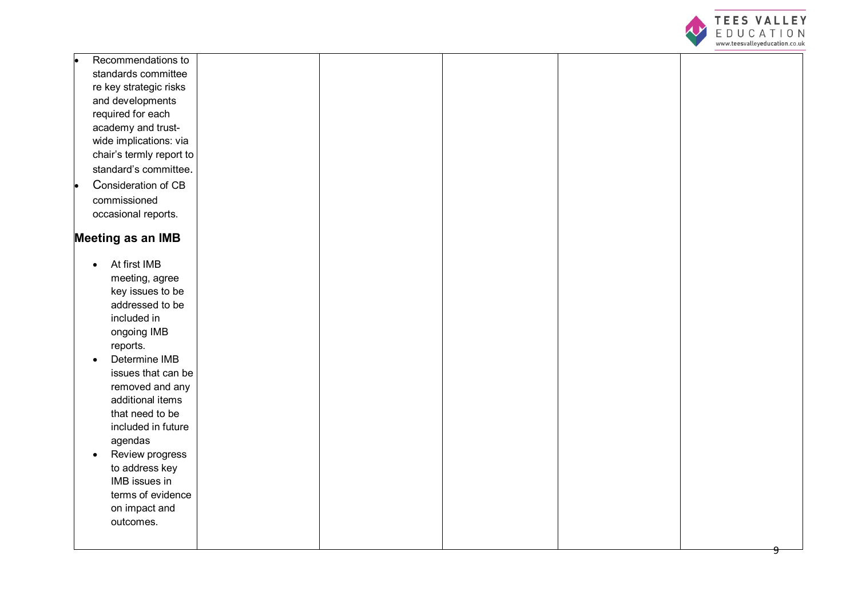

|           | Recommendations to       |  |  |  |
|-----------|--------------------------|--|--|--|
|           | standards committee      |  |  |  |
|           | re key strategic risks   |  |  |  |
|           | and developments         |  |  |  |
|           | required for each        |  |  |  |
|           | academy and trust-       |  |  |  |
|           | wide implications: via   |  |  |  |
|           | chair's termly report to |  |  |  |
|           | standard's committee.    |  |  |  |
|           | Consideration of CB      |  |  |  |
|           | commissioned             |  |  |  |
|           | occasional reports.      |  |  |  |
|           |                          |  |  |  |
|           | <b>Meeting as an IMB</b> |  |  |  |
| $\bullet$ | At first IMB             |  |  |  |
|           | meeting, agree           |  |  |  |
|           | key issues to be         |  |  |  |
|           | addressed to be          |  |  |  |
|           | included in              |  |  |  |
|           | ongoing IMB              |  |  |  |
|           | reports.                 |  |  |  |
| $\bullet$ | Determine IMB            |  |  |  |
|           | issues that can be       |  |  |  |
|           | removed and any          |  |  |  |
|           | additional items         |  |  |  |
|           | that need to be          |  |  |  |
|           | included in future       |  |  |  |
|           | agendas                  |  |  |  |
| $\bullet$ | Review progress          |  |  |  |
|           | to address key           |  |  |  |
|           | IMB issues in            |  |  |  |
|           | terms of evidence        |  |  |  |
|           | on impact and            |  |  |  |
|           | outcomes.                |  |  |  |
|           |                          |  |  |  |
|           |                          |  |  |  |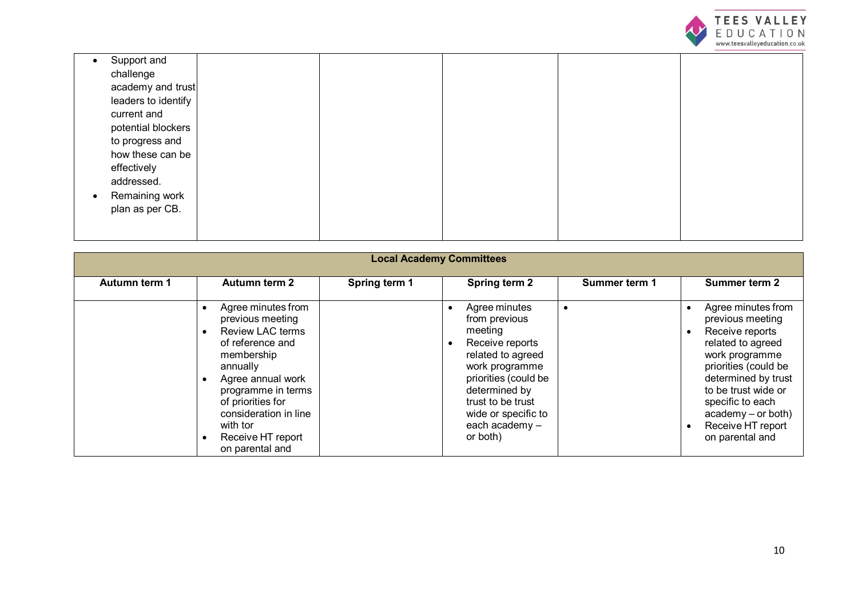

|           | Support and         |  |  |  |
|-----------|---------------------|--|--|--|
|           | challenge           |  |  |  |
|           | academy and trust   |  |  |  |
|           | leaders to identify |  |  |  |
|           | current and         |  |  |  |
|           | potential blockers  |  |  |  |
|           | to progress and     |  |  |  |
|           | how these can be    |  |  |  |
|           | effectively         |  |  |  |
|           | addressed.          |  |  |  |
| $\bullet$ | Remaining work      |  |  |  |
|           | plan as per CB.     |  |  |  |
|           |                     |  |  |  |
|           |                     |  |  |  |

|               | <b>Local Academy Committees</b>                                                                                                                                                                                                                                           |               |                                                                                                                                                                                                                        |               |                                                                                                                                                                                                                                                            |  |  |
|---------------|---------------------------------------------------------------------------------------------------------------------------------------------------------------------------------------------------------------------------------------------------------------------------|---------------|------------------------------------------------------------------------------------------------------------------------------------------------------------------------------------------------------------------------|---------------|------------------------------------------------------------------------------------------------------------------------------------------------------------------------------------------------------------------------------------------------------------|--|--|
| Autumn term 1 | Autumn term 2                                                                                                                                                                                                                                                             | Spring term 1 | Spring term 2                                                                                                                                                                                                          | Summer term 1 | <b>Summer term 2</b>                                                                                                                                                                                                                                       |  |  |
|               | Agree minutes from<br>previous meeting<br><b>Review LAC terms</b><br>$\bullet$<br>of reference and<br>membership<br>annually<br>Agree annual work<br>programme in terms<br>of priorities for<br>consideration in line<br>with tor<br>Receive HT report<br>on parental and |               | Agree minutes<br>from previous<br>meeting<br>Receive reports<br>related to agreed<br>work programme<br>priorities (could be<br>determined by<br>trust to be trust<br>wide or specific to<br>each academy -<br>or both) |               | Agree minutes from<br>previous meeting<br>Receive reports<br>related to agreed<br>work programme<br>priorities (could be<br>determined by trust<br>to be trust wide or<br>specific to each<br>$academy - or both)$<br>Receive HT report<br>on parental and |  |  |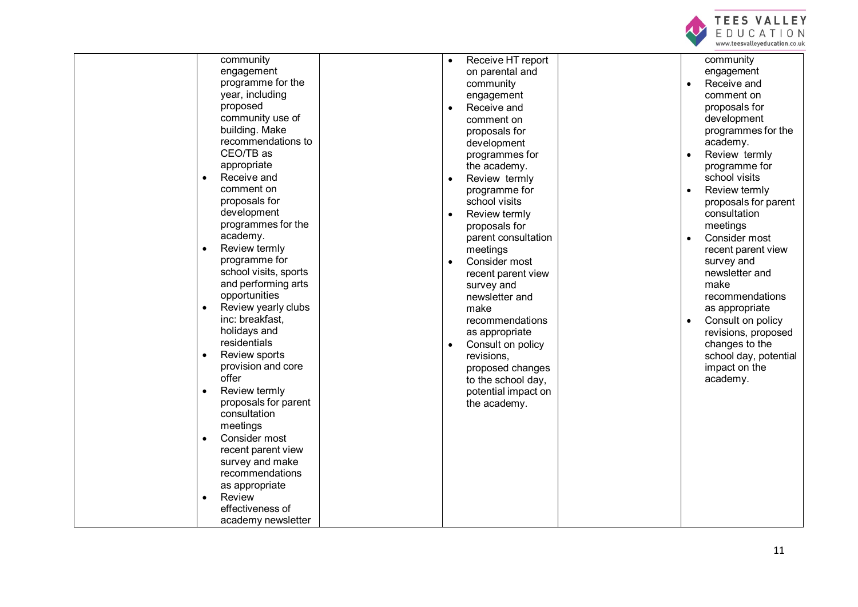

 $\overline{\phantom{0}}$